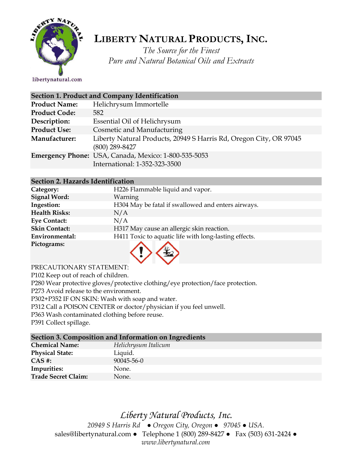

# **LIBERTY NATURAL PRODUCTS,INC.**

*The Source for the Finest Pure and Natural Botanical Oils and Extracts*

libertynatural.com

|                      | Section 1. Product and Company Identification                                          |
|----------------------|----------------------------------------------------------------------------------------|
| <b>Product Name:</b> | Helichrysum Immortelle                                                                 |
| <b>Product Code:</b> | 582                                                                                    |
| Description:         | Essential Oil of Helichrysum                                                           |
| <b>Product Use:</b>  | Cosmetic and Manufacturing                                                             |
| Manufacturer:        | Liberty Natural Products, 20949 S Harris Rd, Oregon City, OR 97045<br>$(800)$ 289-8427 |
|                      | Emergency Phone: USA, Canada, Mexico: 1-800-535-5053<br>International: 1-352-323-3500  |
|                      |                                                                                        |

#### **Section 2. Hazards Identification**

| Category:            | H226 Flammable liquid and vapor.                      |
|----------------------|-------------------------------------------------------|
| <b>Signal Word:</b>  | Warning                                               |
| Ingestion:           | H304 May be fatal if swallowed and enters airways.    |
| <b>Health Risks:</b> | N/A                                                   |
| <b>Eye Contact:</b>  | N/A                                                   |
| <b>Skin Contact:</b> | H317 May cause an allergic skin reaction.             |
| Environmental:       | H411 Toxic to aquatic life with long-lasting effects. |
| Pictograms:          |                                                       |



PRECAUTIONARY STATEMENT:

P102 Keep out of reach of children.

P280 Wear protective gloves/protective clothing/eye protection/face protection.

P273 Avoid release to the environment.

P302+P352 IF ON SKIN: Wash with soap and water.

P312 Call a POISON CENTER or doctor/physician if you feel unwell.

P363 Wash contaminated clothing before reuse.

P391 Collect spillage.

### **Section 3. Composition and Information on Ingredients**

| <b>Chemical Name:</b>      | Helichrysum Italicum |
|----------------------------|----------------------|
| <b>Physical State:</b>     | Liquid.              |
| $CAS$ #:                   | $90045 - 56 - 0$     |
| Impurities:                | None.                |
| <b>Trade Secret Claim:</b> | None.                |
|                            |                      |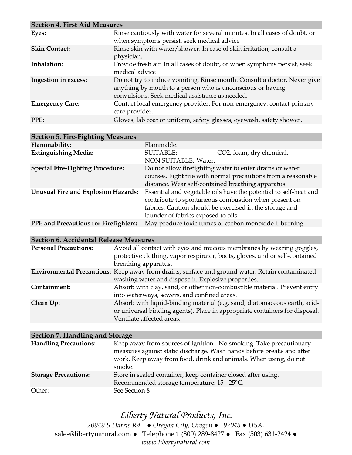| <b>Section 4. First Aid Measures</b> |                                                                                                                                                                                           |  |
|--------------------------------------|-------------------------------------------------------------------------------------------------------------------------------------------------------------------------------------------|--|
| Eyes:                                | Rinse cautiously with water for several minutes. In all cases of doubt, or<br>when symptoms persist, seek medical advice                                                                  |  |
| <b>Skin Contact:</b>                 | Rinse skin with water/shower. In case of skin irritation, consult a<br>physician.                                                                                                         |  |
| Inhalation:                          | Provide fresh air. In all cases of doubt, or when symptoms persist, seek<br>medical advice                                                                                                |  |
| Ingestion in excess:                 | Do not try to induce vomiting. Rinse mouth. Consult a doctor. Never give<br>anything by mouth to a person who is unconscious or having<br>convulsions. Seek medical assistance as needed. |  |
| <b>Emergency Care:</b>               | Contact local emergency provider. For non-emergency, contact primary<br>care provider.                                                                                                    |  |
| PPE:                                 | Gloves, lab coat or uniform, safety glasses, eyewash, safety shower.                                                                                                                      |  |

| <b>Section 5. Fire-Fighting Measures</b>     |                                                    |                                                                                                                                                                                     |
|----------------------------------------------|----------------------------------------------------|-------------------------------------------------------------------------------------------------------------------------------------------------------------------------------------|
| Flammability:                                | Flammable.                                         |                                                                                                                                                                                     |
| <b>Extinguishing Media:</b>                  | <b>SUITABLE:</b><br>NON SUITABLE: Water.           | CO2, foam, dry chemical.                                                                                                                                                            |
| <b>Special Fire-Fighting Procedure:</b>      | distance. Wear self-contained breathing apparatus. | Do not allow firefighting water to enter drains or water<br>courses. Fight fire with normal precautions from a reasonable                                                           |
| <b>Unusual Fire and Explosion Hazards:</b>   | launder of fabrics exposed to oils.                | Essential and vegetable oils have the potential to self-heat and<br>contribute to spontaneous combustion when present on<br>fabrics. Caution should be exercised in the storage and |
| <b>PPE</b> and Precautions for Firefighters: |                                                    | May produce toxic fumes of carbon monoxide if burning.                                                                                                                              |

| <b>Section 6. Accidental Release Measures</b> |                                                                                                                                                                                       |
|-----------------------------------------------|---------------------------------------------------------------------------------------------------------------------------------------------------------------------------------------|
| <b>Personal Precautions:</b>                  | Avoid all contact with eyes and mucous membranes by wearing goggles,<br>protective clothing, vapor respirator, boots, gloves, and or self-contained<br>breathing apparatus.           |
|                                               | <b>Environmental Precautions:</b> Keep away from drains, surface and ground water. Retain contaminated<br>washing water and dispose it. Explosive properties.                         |
| Containment:                                  | Absorb with clay, sand, or other non-combustible material. Prevent entry<br>into waterways, sewers, and confined areas.                                                               |
| Clean Up:                                     | Absorb with liquid-binding material (e.g. sand, diatomaceous earth, acid-<br>or universal binding agents). Place in appropriate containers for disposal.<br>Ventilate affected areas. |

| Section 7. Handling and Storage |                                                                                                                                                                                                                            |  |
|---------------------------------|----------------------------------------------------------------------------------------------------------------------------------------------------------------------------------------------------------------------------|--|
| <b>Handling Precautions:</b>    | Keep away from sources of ignition - No smoking. Take precautionary<br>measures against static discharge. Wash hands before breaks and after<br>work. Keep away from food, drink and animals. When using, do not<br>smoke. |  |
| <b>Storage Precautions:</b>     | Store in sealed container, keep container closed after using.<br>Recommended storage temperature: 15 - 25°C.                                                                                                               |  |
| Other:                          | See Section 8                                                                                                                                                                                                              |  |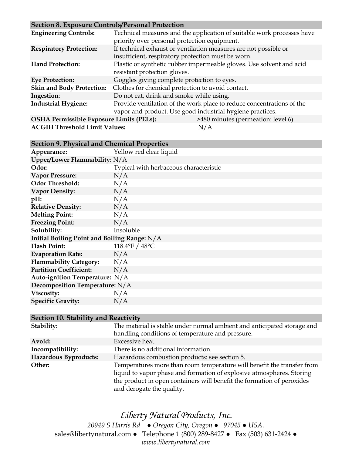#### **Section 8. Exposure Controls/Personal Protection**

| $\sim$ control of Exposure Controls and Choman Trotection |                                                    |                                                                        |
|-----------------------------------------------------------|----------------------------------------------------|------------------------------------------------------------------------|
| <b>Engineering Controls:</b>                              |                                                    | Technical measures and the application of suitable work processes have |
|                                                           | priority over personal protection equipment.       |                                                                        |
| <b>Respiratory Protection:</b>                            |                                                    | If technical exhaust or ventilation measures are not possible or       |
|                                                           | insufficient, respiratory protection must be worn. |                                                                        |
| <b>Hand Protection:</b>                                   |                                                    | Plastic or synthetic rubber impermeable gloves. Use solvent and acid   |
|                                                           | resistant protection gloves.                       |                                                                        |
| <b>Eye Protection:</b>                                    | Goggles giving complete protection to eyes.        |                                                                        |
| <b>Skin and Body Protection:</b>                          | Clothes for chemical protection to avoid contact.  |                                                                        |
| Ingestion:                                                | Do not eat, drink and smoke while using.           |                                                                        |
| <b>Industrial Hygiene:</b>                                |                                                    | Provide ventilation of the work place to reduce concentrations of the  |
|                                                           |                                                    | vapor and product. Use good industrial hygiene practices.              |
| <b>OSHA Permissible Exposure Limits (PELs):</b>           |                                                    | >480 minutes (permeation: level 6)                                     |
| <b>ACGIH Threshold Limit Values:</b>                      |                                                    | N/A                                                                    |

### **Section 9. Physical and Chemical Properties**

| Appearance:                                  | Yellow red clear liquid                |  |
|----------------------------------------------|----------------------------------------|--|
| Upper/Lower Flammability: N/A                |                                        |  |
| Odor:                                        | Typical with herbaceous characteristic |  |
| <b>Vapor Pressure:</b>                       | N/A                                    |  |
| <b>Odor Threshold:</b>                       | N/A                                    |  |
| <b>Vapor Density:</b>                        | N/A                                    |  |
| pH:                                          | N/A                                    |  |
| <b>Relative Density:</b>                     | N/A                                    |  |
| <b>Melting Point:</b>                        | N/A                                    |  |
| <b>Freezing Point:</b>                       | N/A                                    |  |
| Solubility:                                  | Insoluble                              |  |
| Initial Boiling Point and Boiling Range: N/A |                                        |  |
| <b>Flash Point:</b>                          | 118.4°F / 48°C                         |  |
| <b>Evaporation Rate:</b>                     | N/A                                    |  |
| <b>Flammability Category:</b>                | N/A                                    |  |
| <b>Partition Coefficient:</b>                | N/A                                    |  |
| Auto-ignition Temperature: N/A               |                                        |  |
| Decomposition Temperature: N/A               |                                        |  |
| Viscosity:                                   | N/A                                    |  |
| <b>Specific Gravity:</b>                     | N/A                                    |  |

#### **Section 10. Stability and Reactivity**

| Stability:            | The material is stable under normal ambient and anticipated storage and |
|-----------------------|-------------------------------------------------------------------------|
|                       | handling conditions of temperature and pressure.                        |
| Avoid:                | Excessive heat.                                                         |
| Incompatibility:      | There is no additional information.                                     |
| Hazardous Byproducts: | Hazardous combustion products: see section 5.                           |
| Other:                | Temperatures more than room temperature will benefit the transfer from  |
|                       | liquid to vapor phase and formation of explosive atmospheres. Storing   |
|                       | the product in open containers will benefit the formation of peroxides  |
|                       | and derogate the quality.                                               |

## *Liberty Natural Products, Inc.*

*20949 S Harris Rd ● Oregon City, Oregon ● 97045 ● USA.*  sales@libertynatural.com *●* Telephone 1 (800) 289-8427 ● Fax (503) 631-2424 *● www.libertynatural.com*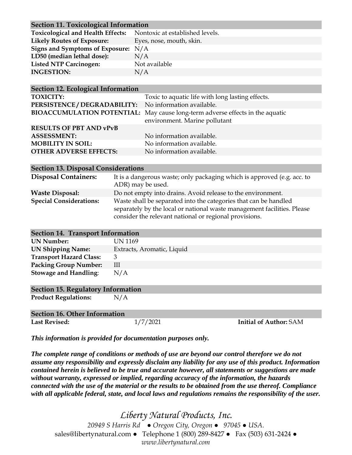| <b>Section 11. Toxicological Information</b>                      |                          |  |
|-------------------------------------------------------------------|--------------------------|--|
| Toxicological and Health Effects: Nontoxic at established levels. |                          |  |
| <b>Likely Routes of Exposure:</b>                                 | Eyes, nose, mouth, skin. |  |
| Signs and Symptoms of Exposure: N/A                               |                          |  |
| LD50 (median lethal dose):                                        | N/A                      |  |
| <b>Listed NTP Carcinogen:</b>                                     | Not available            |  |
| <b>INGESTION:</b>                                                 | N/A                      |  |
|                                                                   |                          |  |

| <b>Section 12. Ecological Information</b>              |                                                                                                                |  |
|--------------------------------------------------------|----------------------------------------------------------------------------------------------------------------|--|
| <b>TOXICITY:</b>                                       | Toxic to aquatic life with long lasting effects.                                                               |  |
| PERSISTENCE / DEGRADABILITY: No information available. |                                                                                                                |  |
|                                                        | BIOACCUMULATION POTENTIAL: May cause long-term adverse effects in the aquatic<br>environment. Marine pollutant |  |
| <b>RESULTS OF PBT AND vPvB</b>                         |                                                                                                                |  |
| <b>ASSESSMENT:</b>                                     | No information available.                                                                                      |  |
| <b>MOBILITY IN SOIL:</b>                               | No information available.                                                                                      |  |
| <b>OTHER ADVERSE EFFECTS:</b>                          | No information available.                                                                                      |  |

| <b>Section 13. Disposal Considerations</b> |                                                                                                                                                                                                       |  |
|--------------------------------------------|-------------------------------------------------------------------------------------------------------------------------------------------------------------------------------------------------------|--|
| <b>Disposal Containers:</b>                | It is a dangerous waste; only packaging which is approved (e.g. acc. to<br>ADR) may be used.                                                                                                          |  |
| <b>Waste Disposal:</b>                     | Do not empty into drains. Avoid release to the environment.                                                                                                                                           |  |
| <b>Special Considerations:</b>             | Waste shall be separated into the categories that can be handled<br>separately by the local or national waste management facilities. Please<br>consider the relevant national or regional provisions. |  |

| <b>Section 14. Transport Information</b> |                            |  |  |
|------------------------------------------|----------------------------|--|--|
| <b>UN Number:</b>                        | UN 1169                    |  |  |
| <b>UN Shipping Name:</b>                 | Extracts, Aromatic, Liquid |  |  |
| <b>Transport Hazard Class:</b>           | 3                          |  |  |
| <b>Packing Group Number:</b>             | Ш                          |  |  |
| <b>Stowage and Handling:</b>             | N/A                        |  |  |
|                                          |                            |  |  |

#### **Section 15. Regulatory Information**

**Product Regulations:** N/A

| Section 16. Other Information |          |                               |  |
|-------------------------------|----------|-------------------------------|--|
| <b>Last Revised:</b>          | 1/7/2021 | <b>Initial of Author: SAM</b> |  |

*This information is provided for documentation purposes only.*

*The complete range of conditions or methods of use are beyond our control therefore we do not assume any responsibility and expressly disclaim any liability for any use of this product. Information contained herein is believed to be true and accurate however, all statements or suggestions are made without warranty, expressed or implied, regarding accuracy of the information, the hazards connected with the use of the material or the results to be obtained from the use thereof. Compliance with all applicable federal, state, and local laws and regulations remains the responsibility of the user.*